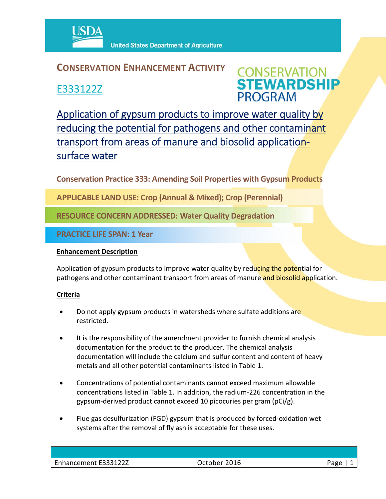

**United States Department of Agriculture** 

## **CONSERVATION ENHANCEMENT ACTIVITY**

E333122Z



Application of gypsum products to improve water quality by reducing the potential for pathogens and other contaminant transport from areas of manure and biosolid applicationsurface water

**Conservation Practice 333: Amending Soil Properties with Gypsum Products**

**APPLICABLE LAND USE: Crop (Annual & Mixed); Crop (Perennial)**

**RESOURCE CONCERN ADDRESSED: Water Quality Degradation**

**PRACTICE LIFE SPAN: 1 Year**

### **Enhancement Description**

Application of gypsum products to improve water quality by reducing the potential for pathogens and other contaminant transport from areas of manure and biosolid application.

### **Criteria**

- Do not apply gypsum products in watersheds where sulfate additions are restricted.
- It is the responsibility of the amendment provider to furnish chemical analysis documentation for the product to the producer. The chemical analysis documentation will include the calcium and sulfur content and content of heavy metals and all other potential contaminants listed in Table 1.
- Concentrations of potential contaminants cannot exceed maximum allowable concentrations listed in Table 1. In addition, the radium‐226 concentration in the gypsum‐derived product cannot exceed 10 picocuries per gram (pCi/g).
- Flue gas desulfurization (FGD) gypsum that is produced by forced‐oxidation wet systems after the removal of fly ash is acceptable for these uses.

| hancement E333122Z | 2016    | ە ەدى |
|--------------------|---------|-------|
| Enh                | October | ັັ    |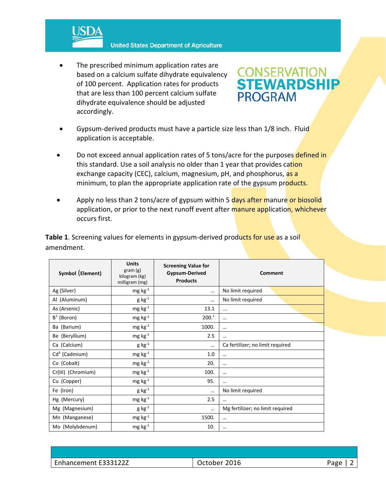

**United States Department of Agriculture** 

 The prescribed minimum application rates are based on a calcium sulfate dihydrate equivalency of 100 percent. Application rates for products that are less than 100 percent calcium sulfate dihydrate equivalence should be adjusted accordingly.



- Gypsum-derived products must have a particle size less than 1/8 inch. Fluid application is acceptable.
- Do not exceed annual application rates of 5 tons/acre for the purposes defined in this standard. Use a soil analysis no older than 1 year that provides cation exchange capacity (CEC), calcium, magnesium, pH, and phosphorus, as a minimum, to plan the appropriate application rate of the gypsum products.
- Apply no less than 2 tons/acre of gypsum within 5 days after manure or biosolid application, or prior to the next runoff event after manure application, whichever occurs first.

**Table 1.** Screening values for elements in gypsum-derived products for use as a soil amendment.

| Symbol (Element)   | <b>Units</b><br>gram(g)<br>kilogram (kg)<br>milligram (mg) | <b>Screening Value for</b><br><b>Gypsum-Derived</b><br><b>Products</b> | Comment                          |
|--------------------|------------------------------------------------------------|------------------------------------------------------------------------|----------------------------------|
| Ag (Silver)        | $mg \, kg^{-1}$                                            | $\cdots$                                                               | No limit required                |
| Al (Aluminum)      | $g kg^{-1}$                                                | $\cdots$                                                               | No limit required                |
| As (Arsenic)       | $mg \, kg^{-1}$                                            | 13.1                                                                   | $\cdots$                         |
| $B^+$ (Boron)      | $mg \, kg^{-1}$                                            | $200.+$                                                                | $\cdots$                         |
| Ba (Barium)        | $mg \, kg^{-1}$                                            | 1000.                                                                  |                                  |
| Be (Beryllium)     | $mg kg^{-1}$                                               | 2.5                                                                    |                                  |
| Ca (Calcium)       | $g kg^{-1}$                                                | $\cdots$                                                               | Ca fertilizer; no limit required |
| $Cd†$ (Cadmium)    | $mg \, kg^{-1}$                                            | 1.0                                                                    | $\cdots$                         |
| Co (Cobalt)        | $mg \, kg^{-1}$                                            | 20.                                                                    |                                  |
| Cr(III) (Chromium) | $mg \, kg^{-1}$                                            | 100.                                                                   |                                  |
| Cu (Copper)        | $mg kg^{-1}$                                               | 95.                                                                    |                                  |
| Fe (Iron)          | $g kg^{-1}$                                                | $\cdots$                                                               | No limit required                |
| Hg (Mercury)       | $mg kg^{-1}$                                               | 2.5                                                                    |                                  |
| Mg (Magnesium)     | $g kg^{-1}$                                                | $\cdots$                                                               | Mg fertilizer; no limit required |
| Mn (Manganese)     | $mg kg^{-1}$                                               | 1500.                                                                  |                                  |
| Mo (Molybdenum)    | $mg kg^{-1}$                                               | 10.                                                                    | $\cdots$                         |

Enhancement E333122Z Company of Catober 2016 **Department Case 12** Page | 2